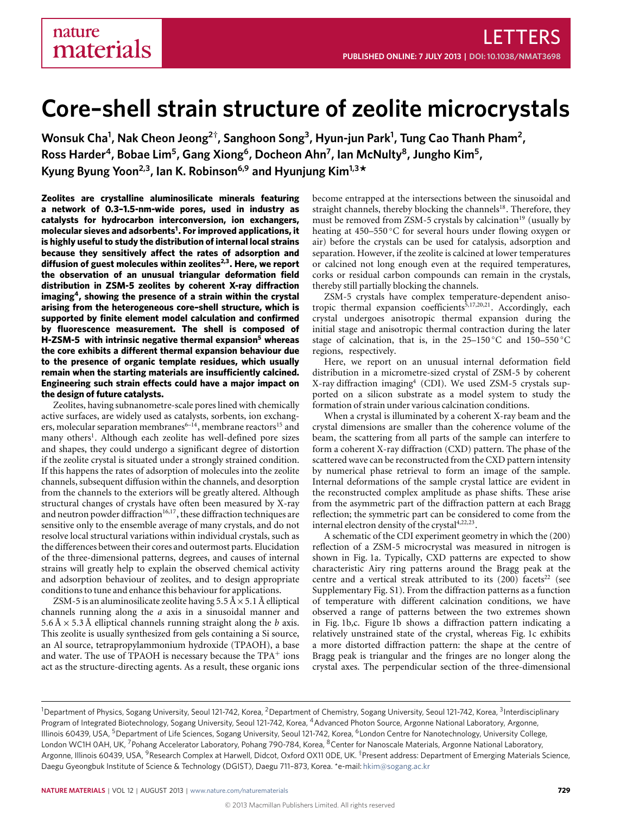# **Core–shell strain structure of zeolite microcrystals**

**Wonsuk Cha<sup>1</sup> , Nak Cheon Jeong<sup>2</sup>† , Sanghoon Song<sup>3</sup> , Hyun-jun Park<sup>1</sup> , Tung Cao Thanh Pham<sup>2</sup> , Ross Harder<sup>4</sup> , Bobae Lim<sup>5</sup> , Gang Xiong<sup>6</sup> , Docheon Ahn<sup>7</sup> , Ian McNulty<sup>8</sup> , Jungho Kim<sup>5</sup> , Kyung Byung Yoon2,3, Ian K. Robinson6,9 and Hyunjung Kim1,3\***

**Zeolites are crystalline aluminosilicate minerals featuring a network of 0.3–1.5-nm-wide pores, used in industry as catalysts for hydrocarbon interconversion, ion exchangers, molecular sieves and adsorbents[1](#page-4-0) . For improved applications, it is highly useful to study the distribution of internal local strains because they sensitively affect the rates of adsorption and diffusion of guest molecules within zeolites[2](#page-4-1)[,3](#page-4-2) . Here, we report the observation of an unusual triangular deformation field distribution in ZSM-5 zeolites by coherent X-ray diffraction imaging[4](#page-4-3) , showing the presence of a strain within the crystal arising from the heterogeneous core–shell structure, which is supported by finite element model calculation and confirmed by fluorescence measurement. The shell is composed of H-ZSM-5 with intrinsic negative thermal expansion[5](#page-4-4) whereas the core exhibits a different thermal expansion behaviour due to the presence of organic template residues, which usually remain when the starting materials are insufficiently calcined. Engineering such strain effects could have a major impact on the design of future catalysts.**

Zeolites, having subnanometre-scale pores lined with chemically active surfaces, are widely used as catalysts, sorbents, ion exchang-ers, molecular separation membranes<sup>6-[14](#page-5-1)</sup>, membrane reactors<sup>[15](#page-5-2)</sup> and many others<sup>[1](#page-4-0)</sup>. Although each zeolite has well-defined pore sizes and shapes, they could undergo a significant degree of distortion if the zeolite crystal is situated under a strongly strained condition. If this happens the rates of adsorption of molecules into the zeolite channels, subsequent diffusion within the channels, and desorption from the channels to the exteriors will be greatly altered. Although structural changes of crystals have often been measured by X-ray and neutron powder diffraction<sup>[16](#page-5-3)[,17](#page-5-4)</sup>, these diffraction techniques are sensitive only to the ensemble average of many crystals, and do not resolve local structural variations within individual crystals, such as the differences between their cores and outermost parts. Elucidation of the three-dimensional patterns, degrees, and causes of internal strains will greatly help to explain the observed chemical activity and adsorption behaviour of zeolites, and to design appropriate conditions to tune and enhance this behaviour for applications.

ZSM-5 is an aluminosilicate zeolite having  $5.5 \text{ Å} \times 5.1 \text{ Å}$  elliptical channels running along the *a* axis in a sinusoidal manner and 5.6 Å  $\times$  5.3 Å elliptical channels running straight along the *b* axis. This zeolite is usually synthesized from gels containing a Si source, an Al source, tetrapropylammonium hydroxide (TPAOH), a base and water. The use of TPAOH is necessary because the  $TPA<sup>+</sup>$  ions act as the structure-directing agents. As a result, these organic ions

become entrapped at the intersections between the sinusoidal and straight channels, thereby blocking the channels<sup>[18](#page-5-5)</sup>. Therefore, they must be removed from ZSM-5 crystals by calcination<sup>[19](#page-5-6)</sup> (usually by heating at 450–550 ◦C for several hours under flowing oxygen or air) before the crystals can be used for catalysis, adsorption and separation. However, if the zeolite is calcined at lower temperatures or calcined not long enough even at the required temperatures, corks or residual carbon compounds can remain in the crystals, thereby still partially blocking the channels.

ZSM-5 crystals have complex temperature-dependent aniso-tropic thermal expansion coefficients<sup>[5](#page-4-4)[,17,](#page-5-4)[20](#page-5-7)[,21](#page-5-8)</sup>. Accordingly, each crystal undergoes anisotropic thermal expansion during the initial stage and anisotropic thermal contraction during the later stage of calcination, that is, in the  $25-150\degree\text{C}$  and  $150-550\degree\text{C}$ regions, respectively.

Here, we report on an unusual internal deformation field distribution in a micrometre-sized crystal of ZSM-5 by coherent X-ray diffraction imaging<sup>[4](#page-4-3)</sup> (CDI). We used ZSM-5 crystals supported on a silicon substrate as a model system to study the formation of strain under various calcination conditions.

When a crystal is illuminated by a coherent X-ray beam and the crystal dimensions are smaller than the coherence volume of the beam, the scattering from all parts of the sample can interfere to form a coherent X-ray diffraction (CXD) pattern. The phase of the scattered wave can be reconstructed from the CXD pattern intensity by numerical phase retrieval to form an image of the sample. Internal deformations of the sample crystal lattice are evident in the reconstructed complex amplitude as phase shifts. These arise from the asymmetric part of the diffraction pattern at each Bragg reflection; the symmetric part can be considered to come from the internal electron density of the crystal<sup>[4](#page-4-3)[,22,](#page-5-9)[23](#page-5-10)</sup>.

A schematic of the CDI experiment geometry in which the (200) reflection of a ZSM-5 microcrystal was measured in nitrogen is shown in [Fig.](#page-1-0) [1a](#page-1-0). Typically, CXD patterns are expected to show characteristic Airy ring patterns around the Bragg peak at the centre and a vertical streak attributed to its  $(200)$  facets<sup>[22](#page-5-9)</sup> (see Supplementary Fig. S1). From the diffraction patterns as a function of temperature with different calcination conditions, we have observed a range of patterns between the two extremes shown in [Fig.](#page-1-0) [1b](#page-1-0),c. [Figure](#page-1-0) [1b](#page-1-0) shows a diffraction pattern indicating a relatively unstrained state of the crystal, whereas [Fig.](#page-1-0) [1c](#page-1-0) exhibits a more distorted diffraction pattern: the shape at the centre of Bragg peak is triangular and the fringes are no longer along the crystal axes. The perpendicular section of the three-dimensional

<sup>&</sup>lt;sup>1</sup>Department of Physics, Sogang University, Seoul 121-742, Korea, <sup>2</sup>Department of Chemistry, Sogang University, Seoul 121-742, Korea, <sup>3</sup>Interdisciplinary Program of Integrated Biotechnology, Sogang University, Seoul 121-742, Korea, <sup>4</sup>Advanced Photon Source, Argonne National Laboratory, Argonne, Illinois 60439, USA, <sup>5</sup>Department of Life Sciences, Sogang University, Seoul 121-742, Korea, <sup>6</sup>London Centre for Nanotechnology, University College, London WC1H 0AH, UK, <sup>7</sup>Pohang Accelerator Laboratory, Pohang 790-784, Korea, <sup>8</sup>Center for Nanoscale Materials, Argonne National Laboratory, Argonne, Illinois 60439, USA, <sup>9</sup>Research Complex at Harwell, Didcot, Oxford OX11 0DE, UK. †Present address: Department of Emerging Materials Science, Daegu Gyeongbuk Institute of Science & Technology (DGIST), Daegu 711–873, Korea. \*e-mail: [hkim@sogang.ac.kr](mailto:hkim@sogang.ac.kr)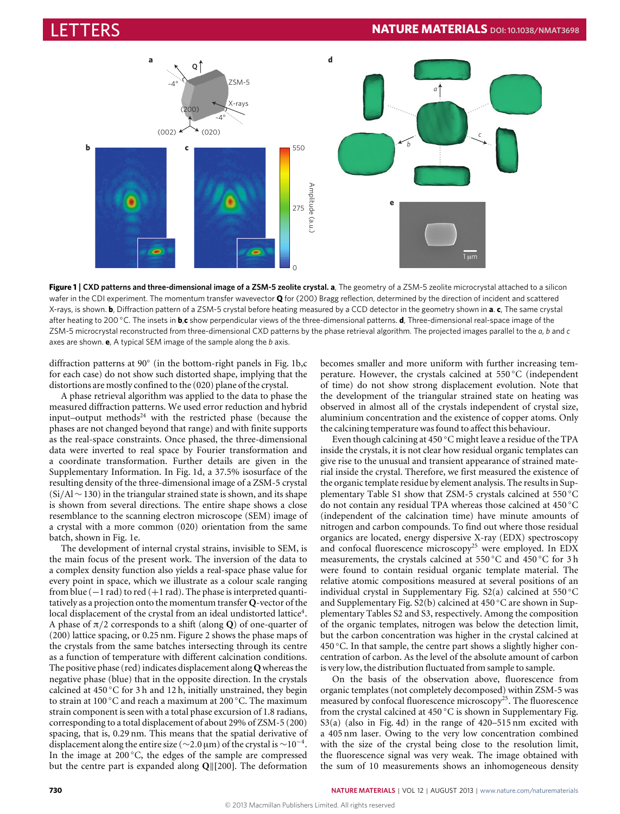# LETTERS **NATURE MATERIALS DOI:[10.1038/NMAT3698](http://www.nature.com/doifinder/10.1038/nmat3698)**



<span id="page-1-0"></span>**Figure 1** | **CXD patterns and three-dimensional image of a ZSM-5 zeolite crystal. a**, The geometry of a ZSM-5 zeolite microcrystal attached to a silicon wafer in the CDI experiment. The momentum transfer wavevector **Q** for (200) Bragg reflection, determined by the direction of incident and scattered X-rays, is shown. **b**, Diffraction pattern of a ZSM-5 crystal before heating measured by a CCD detector in the geometry shown in **a**. **c**, The same crystal after heating to 200 ◦C. The insets in **b**,**c** show perpendicular views of the three-dimensional patterns. **d**, Three-dimensional real-space image of the ZSM-5 microcrystal reconstructed from three-dimensional CXD patterns by the phase retrieval algorithm. The projected images parallel to the *a*, *b* and *c* axes are shown. **e**, A typical SEM image of the sample along the *b* axis.

diffraction patterns at 90◦ (in the bottom-right panels in [Fig.](#page-1-0) [1b](#page-1-0),c for each case) do not show such distorted shape, implying that the distortions are mostly confined to the (020) plane of the crystal.

A phase retrieval algorithm was applied to the data to phase the measured diffraction patterns. We used error reduction and hybrid input–output methods $24$  with the restricted phase (because the phases are not changed beyond that range) and with finite supports as the real-space constraints. Once phased, the three-dimensional data were inverted to real space by Fourier transformation and a coordinate transformation. Further details are given in the Supplementary Information. In [Fig.](#page-1-0) [1d](#page-1-0), a 37.5% isosurface of the resulting density of the three-dimensional image of a ZSM-5 crystal (Si/Al∼130) in the triangular strained state is shown, and its shape is shown from several directions. The entire shape shows a close resemblance to the scanning electron microscope (SEM) image of a crystal with a more common (020) orientation from the same batch, shown in [Fig.](#page-1-0) [1e](#page-1-0).

The development of internal crystal strains, invisible to SEM, is the main focus of the present work. The inversion of the data to a complex density function also yields a real-space phase value for every point in space, which we illustrate as a colour scale ranging from blue  $(-1 rad)$  to red  $(+1 rad)$ . The phase is interpreted quantitatively as a projection onto the momentum transfer **Q**-vector of the local displacement of the crystal from an ideal undistorted lattice<sup>[4](#page-4-3)</sup>. A phase of π/2 corresponds to a shift (along **Q**) of one-quarter of (200) lattice spacing, or 0.25 nm. [Figure](#page-2-0) [2](#page-2-0) shows the phase maps of the crystals from the same batches intersecting through its centre as a function of temperature with different calcination conditions. The positive phase (red) indicates displacement along **Q** whereas the negative phase (blue) that in the opposite direction. In the crystals calcined at 450 ◦C for 3 h and 12 h, initially unstrained, they begin to strain at 100 ◦C and reach a maximum at 200 ◦C. The maximum strain component is seen with a total phase excursion of 1.8 radians, corresponding to a total displacement of about 29% of ZSM-5 (200) spacing, that is, 0.29 nm. This means that the spatial derivative of displacement along the entire size ( $\sim$ 2.0 µm) of the crystal is  $\sim$ 10<sup>-4</sup>. In the image at 200 ◦C, the edges of the sample are compressed but the centre part is expanded along Q||[200]. The deformation becomes smaller and more uniform with further increasing temperature. However, the crystals calcined at 550 ◦C (independent of time) do not show strong displacement evolution. Note that the development of the triangular strained state on heating was observed in almost all of the crystals independent of crystal size, aluminium concentration and the existence of copper atoms. Only the calcining temperature was found to affect this behaviour.

Even though calcining at 450 ◦C might leave a residue of the TPA inside the crystals, it is not clear how residual organic templates can give rise to the unusual and transient appearance of strained material inside the crystal. Therefore, we first measured the existence of the organic template residue by element analysis. The results in Supplementary Table S1 show that ZSM-5 crystals calcined at 550 ◦C do not contain any residual TPA whereas those calcined at 450 ◦C (independent of the calcination time) have minute amounts of nitrogen and carbon compounds. To find out where those residual organics are located, energy dispersive X-ray (EDX) spectroscopy and confocal fluorescence microscopy<sup>[25](#page-5-12)</sup> were employed. In EDX measurements, the crystals calcined at 550 ◦C and 450 ◦C for 3 h were found to contain residual organic template material. The relative atomic compositions measured at several positions of an individual crystal in Supplementary Fig. S2(a) calcined at  $550^{\circ}$ C and Supplementary Fig. S2(b) calcined at 450 ◦C are shown in Supplementary Tables S2 and S3, respectively. Among the composition of the organic templates, nitrogen was below the detection limit, but the carbon concentration was higher in the crystal calcined at 450 ◦C. In that sample, the centre part shows a slightly higher concentration of carbon. As the level of the absolute amount of carbon is very low, the distribution fluctuated from sample to sample.

On the basis of the observation above, fluorescence from organic templates (not completely decomposed) within ZSM-5 was measured by confocal fluorescence microscopy<sup>[25](#page-5-12)</sup>. The fluorescence from the crystal calcined at 450 °C is shown in Supplementary Fig. S3(a) (also in [Fig.](#page-4-5) [4d](#page-4-5)) in the range of 420–515 nm excited with a 405 nm laser. Owing to the very low concentration combined with the size of the crystal being close to the resolution limit, the fluorescence signal was very weak. The image obtained with the sum of 10 measurements shows an inhomogeneous density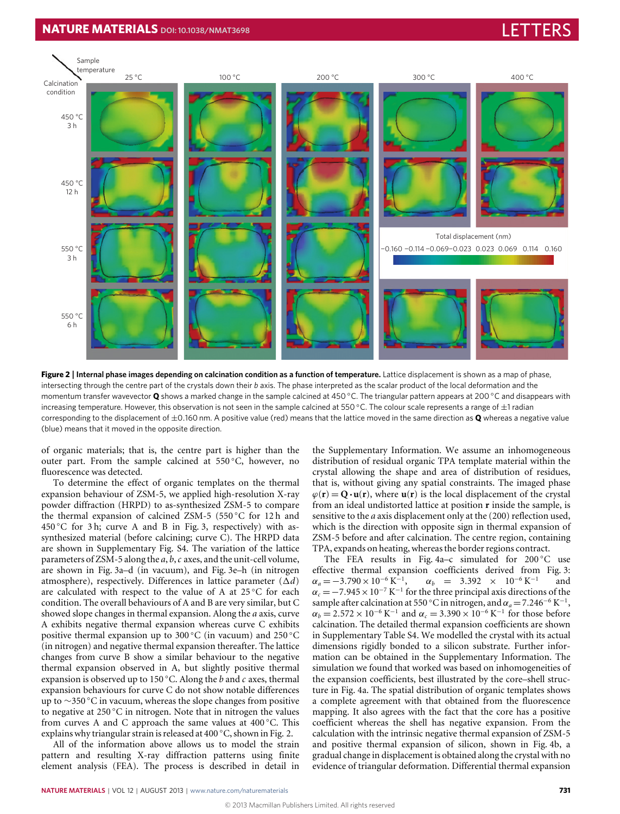# **NATURE MATERIALS** DOI:[10.1038/NMAT3698](http://www.nature.com/doifinder/10.1038/nmat3698) LETTERS AND THE RESEARCH OF THE RESEARCH OF THE RESEARCH OF THE RESEARCH OF THE RESEARCH OF THE RESEARCH OF THE RESEARCH OF THE RESEARCH OF THE RESEARCH OF THE RESEARCH OF THE RESEAR



<span id="page-2-0"></span>**Figure 2** | **Internal phase images depending on calcination condition as a function of temperature.** Lattice displacement is shown as a map of phase, intersecting through the centre part of the crystals down their *b* axis. The phase interpreted as the scalar product of the local deformation and the momentum transfer wavevector **Q** shows a marked change in the sample calcined at 450 ◦C. The triangular pattern appears at 200 ◦C and disappears with increasing temperature. However, this observation is not seen in the sample calcined at 550 °C. The colour scale represents a range of  $\pm 1$  radian corresponding to the displacement of ±0.160 nm. A positive value (red) means that the lattice moved in the same direction as **Q** whereas a negative value (blue) means that it moved in the opposite direction.

of organic materials; that is, the centre part is higher than the outer part. From the sample calcined at 550 ◦C, however, no fluorescence was detected.

To determine the effect of organic templates on the thermal expansion behaviour of ZSM-5, we applied high-resolution X-ray powder diffraction (HRPD) to as-synthesized ZSM-5 to compare the thermal expansion of calcined ZSM-5 (550 ◦C for 12 h and 450 ◦C for 3 h; curve A and B in [Fig.](#page-3-0) [3,](#page-3-0) respectively) with assynthesized material (before calcining; curve C). The HRPD data are shown in Supplementary Fig. S4. The variation of the lattice parameters of ZSM-5 along the *a*, *b*,*c* axes, and the unit-cell volume, are shown in [Fig.](#page-3-0) [3a](#page-3-0)–d (in vacuum), and [Fig.](#page-3-0) [3e](#page-3-0)–h (in nitrogen atmosphere), respectively. Differences in lattice parameter  $(\Delta d)$ are calculated with respect to the value of A at 25 °C for each condition. The overall behaviours of A and B are very similar, but C showed slope changes in thermal expansion. Along the *a* axis, curve A exhibits negative thermal expansion whereas curve C exhibits positive thermal expansion up to 300 ◦C (in vacuum) and 250 ◦C (in nitrogen) and negative thermal expansion thereafter. The lattice changes from curve B show a similar behaviour to the negative thermal expansion observed in A, but slightly positive thermal expansion is observed up to 150 ◦C. Along the *b* and *c* axes, thermal expansion behaviours for curve C do not show notable differences up to ∼350 ◦C in vacuum, whereas the slope changes from positive to negative at 250 ℃ in nitrogen. Note that in nitrogen the values from curves A and C approach the same values at 400 ◦C. This explains why triangular strain is released at 400 ◦C, shown in [Fig.](#page-2-0) [2.](#page-2-0)

All of the information above allows us to model the strain pattern and resulting X-ray diffraction patterns using finite element analysis (FEA). The process is described in detail in the Supplementary Information. We assume an inhomogeneous distribution of residual organic TPA template material within the crystal allowing the shape and area of distribution of residues, that is, without giving any spatial constraints. The imaged phase  $\varphi(\mathbf{r}) = \mathbf{Q} \cdot \mathbf{u}(\mathbf{r})$ , where  $\mathbf{u}(\mathbf{r})$  is the local displacement of the crystal from an ideal undistorted lattice at position **r** inside the sample, is sensitive to the *a* axis displacement only at the (200) reflection used, which is the direction with opposite sign in thermal expansion of ZSM-5 before and after calcination. The centre region, containing TPA, expands on heating, whereas the border regions contract.

The FEA results in [Fig.](#page-4-5) [4a](#page-4-5)–c simulated for  $200\degree C$  use effective thermal expansion coefficients derived from [Fig.](#page-3-0) [3:](#page-3-0)  $\alpha_a = -3.790 \times 10^{-6} \text{ K}^{-1}$  $\alpha_b = 3.392 \times 10^{-6} \text{ K}^{-1}$ and  $\alpha_c = -7.945 \times 10^{-7} \text{ K}^{-1}$  for the three principal axis directions of the sample after calcination at 550 °C in nitrogen, and  $\alpha_a = 7.246^{-6} \text{ K}^{-1}$ ,  $\alpha_b = 2.572 \times 10^{-6} \text{ K}^{-1}$  and  $\alpha_c = 3.390 \times 10^{-6} \text{ K}^{-1}$  for those before calcination. The detailed thermal expansion coefficients are shown in Supplementary Table S4. We modelled the crystal with its actual dimensions rigidly bonded to a silicon substrate. Further information can be obtained in the Supplementary Information. The simulation we found that worked was based on inhomogeneities of the expansion coefficients, best illustrated by the core–shell structure in [Fig.](#page-4-5) [4a](#page-4-5). The spatial distribution of organic templates shows a complete agreement with that obtained from the fluorescence mapping. It also agrees with the fact that the core has a positive coefficient whereas the shell has negative expansion. From the calculation with the intrinsic negative thermal expansion of ZSM-5 and positive thermal expansion of silicon, shown in [Fig.](#page-4-5) [4b](#page-4-5), a gradual change in displacement is obtained along the crystal with no evidence of triangular deformation. Differential thermal expansion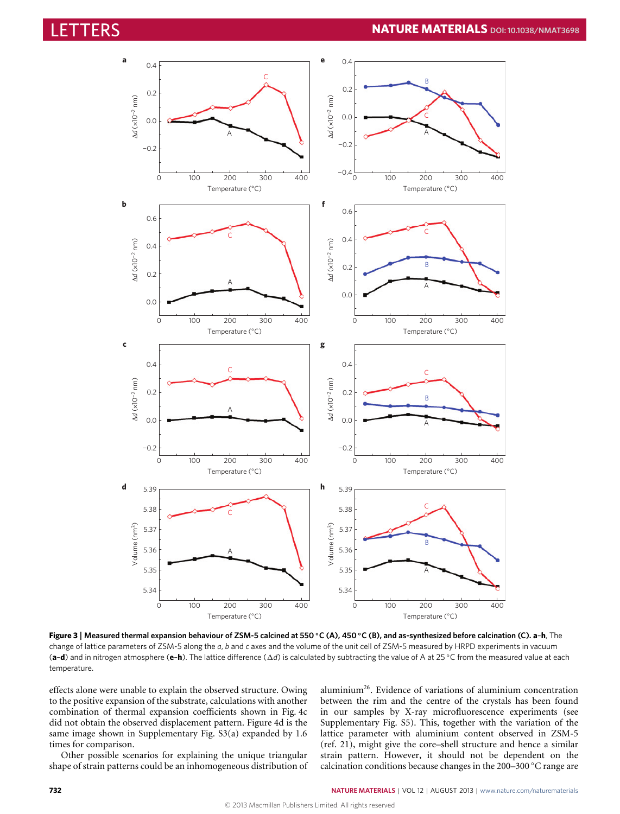

<span id="page-3-0"></span>**Figure 3** | **Measured thermal expansion behaviour of ZSM-5 calcined at 550** ◦**C (A), 450** ◦**C (B), and as-synthesized before calcination (C). a**–**h**, The change of lattice parameters of ZSM-5 along the *a*, *b* and *c* axes and the volume of the unit cell of ZSM-5 measured by HRPD experiments in vacuum (**a**–**d**) and in nitrogen atmosphere (**e**–**h**). The lattice difference (1*d*) is calculated by subtracting the value of A at 25 ◦C from the measured value at each temperature.

effects alone were unable to explain the observed structure. Owing to the positive expansion of the substrate, calculations with another combination of thermal expansion coefficients shown in [Fig.](#page-4-5) [4c](#page-4-5) did not obtain the observed displacement pattern. [Figure](#page-4-5) [4d](#page-4-5) is the same image shown in Supplementary Fig. S3(a) expanded by 1.6 times for comparison.

Other possible scenarios for explaining the unique triangular shape of strain patterns could be an inhomogeneous distribution of aluminium[26](#page-5-13). Evidence of variations of aluminium concentration between the rim and the centre of the crystals has been found in our samples by X-ray microfluorescence experiments (see Supplementary Fig. S5). This, together with the variation of the lattice parameter with aluminium content observed in ZSM-5 (ref. [21\)](#page-5-8), might give the core–shell structure and hence a similar strain pattern. However, it should not be dependent on the calcination conditions because changes in the 200–300 ◦C range are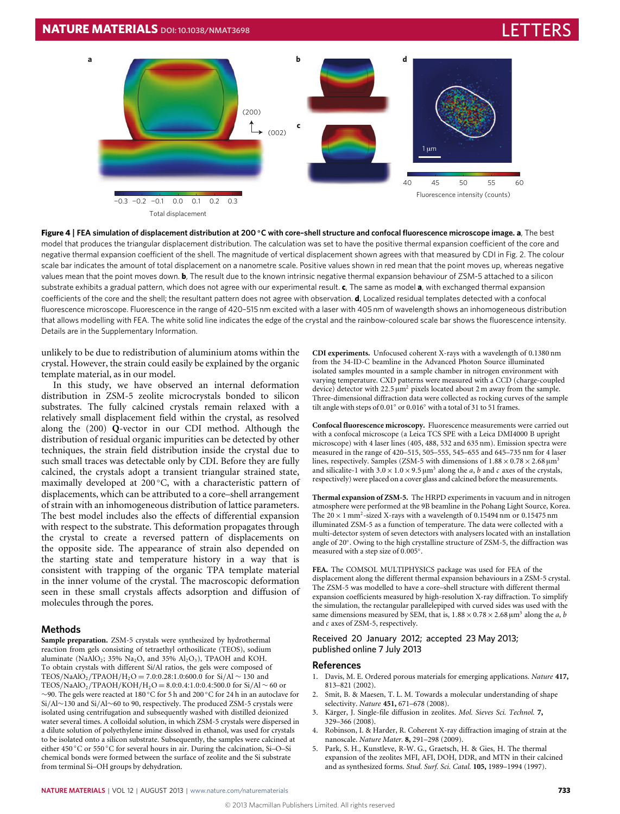

<span id="page-4-5"></span>**Figure 4** | **FEA simulation of displacement distribution at 200** ◦**C with core–shell structure and confocal fluorescence microscope image. a**, The best model that produces the triangular displacement distribution. The calculation was set to have the positive thermal expansion coefficient of the core and negative thermal expansion coefficient of the shell. The magnitude of vertical displacement shown agrees with that measured by CDI in Fig. 2. The colour scale bar indicates the amount of total displacement on a nanometre scale. Positive values shown in red mean that the point moves up, whereas negative values mean that the point moves down. **b**, The result due to the known intrinsic negative thermal expansion behaviour of ZSM-5 attached to a silicon substrate exhibits a gradual pattern, which does not agree with our experimental result. **c**, The same as model **a**, with exchanged thermal expansion coefficients of the core and the shell; the resultant pattern does not agree with observation. **d**, Localized residual templates detected with a confocal fluorescence microscope. Fluorescence in the range of 420–515 nm excited with a laser with 405 nm of wavelength shows an inhomogeneous distribution that allows modelling with FEA. The white solid line indicates the edge of the crystal and the rainbow-coloured scale bar shows the fluorescence intensity. Details are in the Supplementary Information.

unlikely to be due to redistribution of aluminium atoms within the crystal. However, the strain could easily be explained by the organic template material, as in our model.

In this study, we have observed an internal deformation distribution in ZSM-5 zeolite microcrystals bonded to silicon substrates. The fully calcined crystals remain relaxed with a relatively small displacement field within the crystal, as resolved along the (200) **Q**-vector in our CDI method. Although the distribution of residual organic impurities can be detected by other techniques, the strain field distribution inside the crystal due to such small traces was detectable only by CDI. Before they are fully calcined, the crystals adopt a transient triangular strained state, maximally developed at 200 ℃, with a characteristic pattern of displacements, which can be attributed to a core–shell arrangement of strain with an inhomogeneous distribution of lattice parameters. The best model includes also the effects of differential expansion with respect to the substrate. This deformation propagates through the crystal to create a reversed pattern of displacements on the opposite side. The appearance of strain also depended on the starting state and temperature history in a way that is consistent with trapping of the organic TPA template material in the inner volume of the crystal. The macroscopic deformation seen in these small crystals affects adsorption and diffusion of molecules through the pores.

### **Methods**

**Sample preparation.** ZSM-5 crystals were synthesized by hydrothermal reaction from gels consisting of tetraethyl orthosilicate (TEOS), sodium aluminate (NaAlO<sub>2</sub>; 35% Na<sub>2</sub>O, and 35% Al<sub>2</sub>O<sub>3</sub>), TPAOH and KOH. To obtain crystals with different Si/Al ratios, the gels were composed of TEOS/NaAlO<sub>2</sub>/TPAOH/H<sub>2</sub>O = 7.0:0.28:1.0:600.0 for Si/Al ∼ 130 and TEOS/NaAlO2/TPAOH/KOH/H2O = 8.0:0.4:1.0:0.4:500.0 for Si/Al ∼ 60 or ∼90. The gels were reacted at 180 ◦C for 5 h and 200 ◦C for 24 h in an autoclave for Si/Al∼130 and Si/Al∼60 to 90, respectively. The produced ZSM-5 crystals were isolated using centrifugation and subsequently washed with distilled deionized water several times. A colloidal solution, in which ZSM-5 crystals were dispersed in a dilute solution of polyethylene imine dissolved in ethanol, was used for crystals to be isolated onto a silicon substrate. Subsequently, the samples were calcined at either 450 ◦C or 550 ◦C for several hours in air. During the calcination, Si–O–Si chemical bonds were formed between the surface of zeolite and the Si substrate from terminal Si–OH groups by dehydration.

**CDI experiments.** Unfocused coherent X-rays with a wavelength of 0.1380 nm from the 34-ID-C beamline in the Advanced Photon Source illuminated isolated samples mounted in a sample chamber in nitrogen environment with varying temperature. CXD patterns were measured with a CCD (charge-coupled device) detector with 22.5  $\mu$ m<sup>2</sup> pixels located about 2 m away from the sample. Three-dimensional diffraction data were collected as rocking curves of the sample tilt angle with steps of 0.01◦ or 0.016◦ with a total of 31 to 51 frames.

**Confocal fluorescence microscopy.** Fluorescence measurements were carried out with a confocal microscope (a Leica TCS SPE with a Leica DMI4000 B upright microscope) with 4 laser lines (405, 488, 532 and 635 nm). Emission spectra were measured in the range of 420–515, 505–555, 545–655 and 645–735 nm for 4 laser lines, respectively. Samples (ZSM-5 with dimensions of  $1.88 \times 0.78 \times 2.68 \,\mathrm{\upmu m^3}$ and silicalite-1 with  $3.0 \times 1.0 \times 9.5 \mu m^3$  along the *a*, *b* and *c* axes of the crystals, respectively) were placed on a cover glass and calcined before the measurements.

**Thermal expansion of ZSM-5.** The HRPD experiments in vacuum and in nitrogen atmosphere were performed at the 9B beamline in the Pohang Light Source, Korea. The  $20 \times 1$  mm<sup>2</sup>-sized X-rays with a wavelength of 0.15494 nm or 0.15475 nm illuminated ZSM-5 as a function of temperature. The data were collected with a multi-detector system of seven detectors with analysers located with an installation angle of 20◦ . Owing to the high crystalline structure of ZSM-5, the diffraction was measured with a step size of 0.005◦ .

**FEA.** The COMSOL MULTIPHYSICS package was used for FEA of the displacement along the different thermal expansion behaviours in a ZSM-5 crystal. The ZSM-5 was modelled to have a core–shell structure with different thermal expansion coefficients measured by high-resolution X-ray diffraction. To simplify the simulation, the rectangular parallelepiped with curved sides was used with the same dimensions measured by SEM, that is,  $1.88 \times 0.78 \times 2.68 \,\mu\text{m}^3$  along the *a*, *b* and *c* axes of ZSM-5, respectively.

#### Received 20 January 2012; accepted 23 May 2013; published online 7 July 2013

#### **References**

- <span id="page-4-0"></span>1. Davis, M. E. Ordered porous materials for emerging applications. *Nature* **417,** 813–821 (2002).
- <span id="page-4-1"></span>Smit, B. & Maesen, T. L. M. Towards a molecular understanding of shape selectivity. *Nature* **451,** 671–678 (2008).
- <span id="page-4-2"></span>3. Kärger, J. Single-file diffusion in zeolites. *Mol. Sieves Sci. Technol.* **7,** 329–366 (2008).
- <span id="page-4-3"></span>4. Robinson, I. & Harder, R. Coherent X-ray diffraction imaging of strain at the nanoscale. *Nature Mater.* **8,** 291–298 (2009).
- <span id="page-4-4"></span>5. Park, S. H., Kunstleve, R-W. G., Graetsch, H. & Gies, H. The thermal expansion of the zeolites MFI, AFI, DOH, DDR, and MTN in their calcined and as synthesized forms. *Stud. Surf. Sci. Catal.* **105,** 1989–1994 (1997).